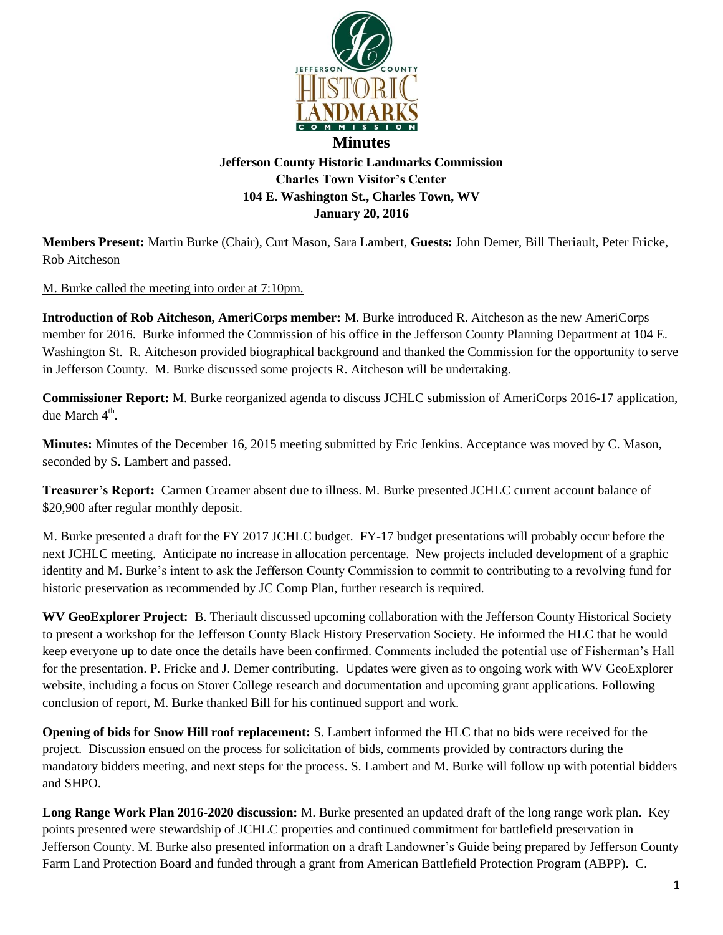

**Jefferson County Historic Landmarks Commission Charles Town Visitor's Center 104 E. Washington St., Charles Town, WV January 20, 2016**

**Members Present:** Martin Burke (Chair), Curt Mason, Sara Lambert, **Guests:** John Demer, Bill Theriault, Peter Fricke, Rob Aitcheson

M. Burke called the meeting into order at 7:10pm.

**Introduction of Rob Aitcheson, AmeriCorps member:** M. Burke introduced R. Aitcheson as the new AmeriCorps member for 2016. Burke informed the Commission of his office in the Jefferson County Planning Department at 104 E. Washington St. R. Aitcheson provided biographical background and thanked the Commission for the opportunity to serve in Jefferson County. M. Burke discussed some projects R. Aitcheson will be undertaking.

**Commissioner Report:** M. Burke reorganized agenda to discuss JCHLC submission of AmeriCorps 2016-17 application, due March 4<sup>th</sup>.

**Minutes:** Minutes of the December 16, 2015 meeting submitted by Eric Jenkins. Acceptance was moved by C. Mason, seconded by S. Lambert and passed.

**Treasurer's Report:** Carmen Creamer absent due to illness. M. Burke presented JCHLC current account balance of \$20,900 after regular monthly deposit.

M. Burke presented a draft for the FY 2017 JCHLC budget. FY-17 budget presentations will probably occur before the next JCHLC meeting. Anticipate no increase in allocation percentage. New projects included development of a graphic identity and M. Burke's intent to ask the Jefferson County Commission to commit to contributing to a revolving fund for historic preservation as recommended by JC Comp Plan, further research is required.

**WV GeoExplorer Project:** B. Theriault discussed upcoming collaboration with the Jefferson County Historical Society to present a workshop for the Jefferson County Black History Preservation Society. He informed the HLC that he would keep everyone up to date once the details have been confirmed. Comments included the potential use of Fisherman's Hall for the presentation. P. Fricke and J. Demer contributing. Updates were given as to ongoing work with WV GeoExplorer website, including a focus on Storer College research and documentation and upcoming grant applications. Following conclusion of report, M. Burke thanked Bill for his continued support and work.

**Opening of bids for Snow Hill roof replacement:** S. Lambert informed the HLC that no bids were received for the project. Discussion ensued on the process for solicitation of bids, comments provided by contractors during the mandatory bidders meeting, and next steps for the process. S. Lambert and M. Burke will follow up with potential bidders and SHPO.

**Long Range Work Plan 2016-2020 discussion:** M. Burke presented an updated draft of the long range work plan. Key points presented were stewardship of JCHLC properties and continued commitment for battlefield preservation in Jefferson County. M. Burke also presented information on a draft Landowner's Guide being prepared by Jefferson County Farm Land Protection Board and funded through a grant from American Battlefield Protection Program (ABPP). C.